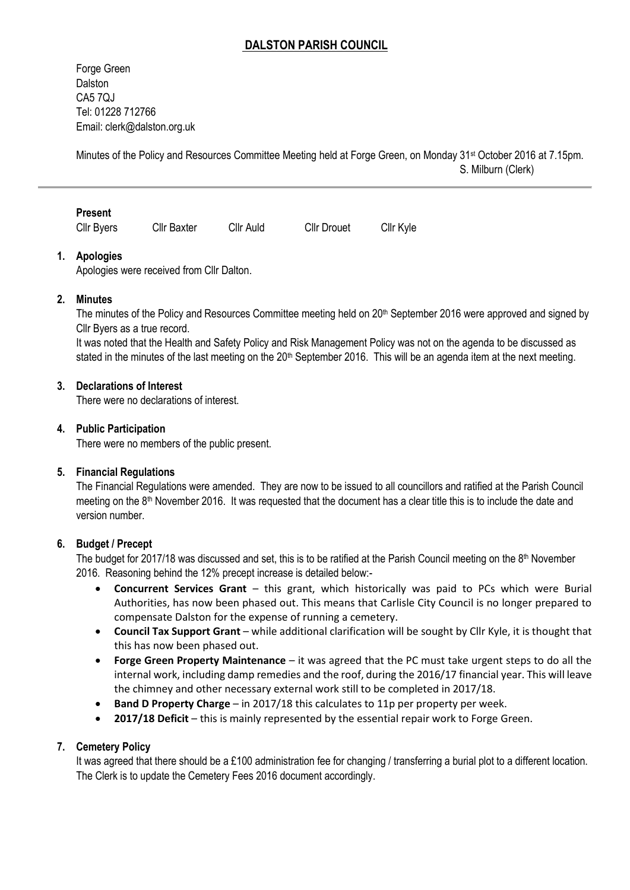# **DALSTON PARISH COUNCIL**

Forge Green **Dalston** CA5 7QJ Tel: 01228 712766 Email[: clerk@dalston.org.uk](mailto:clerk@dalston.org.uk)

Minutes of the Policy and Resources Committee Meeting held at Forge Green, on Monday 31st October 2016 at 7.15pm. S. Milburn (Clerk)

Cllr Byers Cllr Baxter Cllr Auld Cllr Drouet Cllr Kyle

### **1. Apologies**

Apologies were received from Cllr Dalton.

### **2. Minutes**

The minutes of the Policy and Resources Committee meeting held on 20th September 2016 were approved and signed by Cllr Byers as a true record.

It was noted that the Health and Safety Policy and Risk Management Policy was not on the agenda to be discussed as stated in the minutes of the last meeting on the  $20<sup>th</sup>$  September 2016. This will be an agenda item at the next meeting.

### **3. Declarations of Interest**

There were no declarations of interest.

### **4. Public Participation**

There were no members of the public present.

#### **5. Financial Regulations**

The Financial Regulations were amended. They are now to be issued to all councillors and ratified at the Parish Council meeting on the  $8<sup>th</sup>$  November 2016. It was requested that the document has a clear title this is to include the date and version number.

#### **6. Budget / Precept**

The budget for 2017/18 was discussed and set, this is to be ratified at the Parish Council meeting on the  $8<sup>th</sup>$  November 2016. Reasoning behind the 12% precept increase is detailed below:-

- **Concurrent Services Grant** this grant, which historically was paid to PCs which were Burial Authorities, has now been phased out. This means that Carlisle City Council is no longer prepared to compensate Dalston for the expense of running a cemetery.
- **Council Tax Support Grant** while additional clarification will be sought by Cllr Kyle, it is thought that this has now been phased out.
- **Forge Green Property Maintenance** it was agreed that the PC must take urgent steps to do all the internal work, including damp remedies and the roof, during the 2016/17 financial year. This will leave the chimney and other necessary external work still to be completed in 2017/18.
- **Band D Property Charge** in 2017/18 this calculates to 11p per property per week.
- **2017/18 Deficit** this is mainly represented by the essential repair work to Forge Green.

## **7. Cemetery Policy**

It was agreed that there should be a £100 administration fee for changing / transferring a burial plot to a different location. The Clerk is to update the Cemetery Fees 2016 document accordingly.